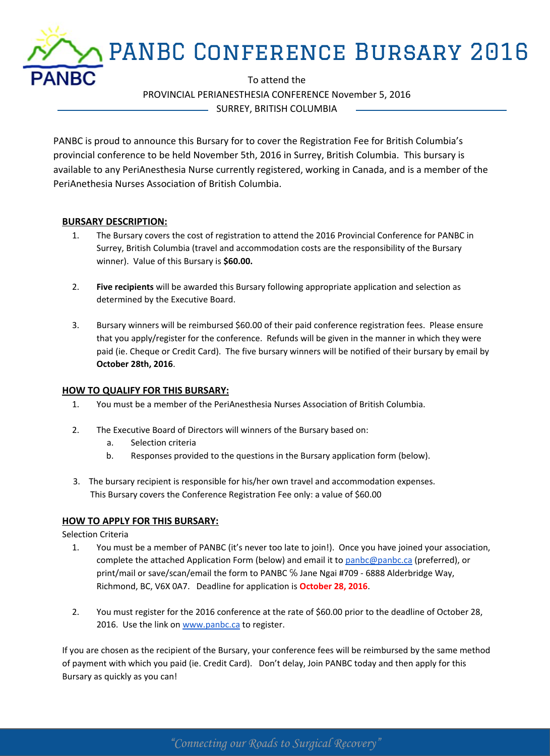

PROVINCIAL PERIANESTHESIA CONFERENCE November 5, 2016 SURREY, BRITISH COLUMBIA

PANBC is proud to announce this Bursary for to cover the Registration Fee for British Columbia's provincial conference to be held November 5th, 2016 in Surrey, British Columbia. This bursary is available to any PeriAnesthesia Nurse currently registered, working in Canada, and is a member of the PeriAnethesia Nurses Association of British Columbia.

## **BURSARY DESCRIPTION:**

- 1. The Bursary covers the cost of registration to attend the 2016 Provincial Conference for PANBC in Surrey, British Columbia (travel and accommodation costs are the responsibility of the Bursary winner). Value of this Bursary is **\$60.00.**
- 2. **Five recipients** will be awarded this Bursary following appropriate application and selection as determined by the Executive Board.
- 3. Bursary winners will be reimbursed \$60.00 of their paid conference registration fees. Please ensure that you apply/register for the conference. Refunds will be given in the manner in which they were paid (ie. Cheque or Credit Card). The five bursary winners will be notified of their bursary by email by **October 28th, 2016**.

## **HOW TO QUALIFY FOR THIS BURSARY:**

- 1. You must be a member of the PeriAnesthesia Nurses Association of British Columbia.
- 2. The Executive Board of Directors will winners of the Bursary based on:
	- a. Selection criteria
	- b. Responses provided to the questions in the Bursary application form (below).
- 3. The bursary recipient is responsible for his/her own travel and accommodation expenses. This Bursary covers the Conference Registration Fee only: a value of \$60.00

## **HOW TO APPLY FOR THIS BURSARY:**

Selection Criteria

- 1. You must be a member of PANBC (it's never too late to join!). Once you have joined your association, complete the attached Application Form (below) and email it to [panbc@panbc.ca](mailto:panbc@panbc.ca) (preferred), or print/mail or save/scan/email the form to PANBC ℅ Jane Ngai #709 - 6888 Alderbridge Way, Richmond, BC, V6X 0A7. Deadline for application is **October 28, 2016**.
- 2. You must register for the 2016 conference at the rate of \$60.00 prior to the deadline of October 28, 2016. Use the link on [www.panbc.ca](http://www.panbc.ca) to register.

If you are chosen as the recipient of the Bursary, your conference fees will be reimbursed by the same method of payment with which you paid (ie. Credit Card). Don't delay, Join PANBC today and then apply for this Bursary as quickly as you can!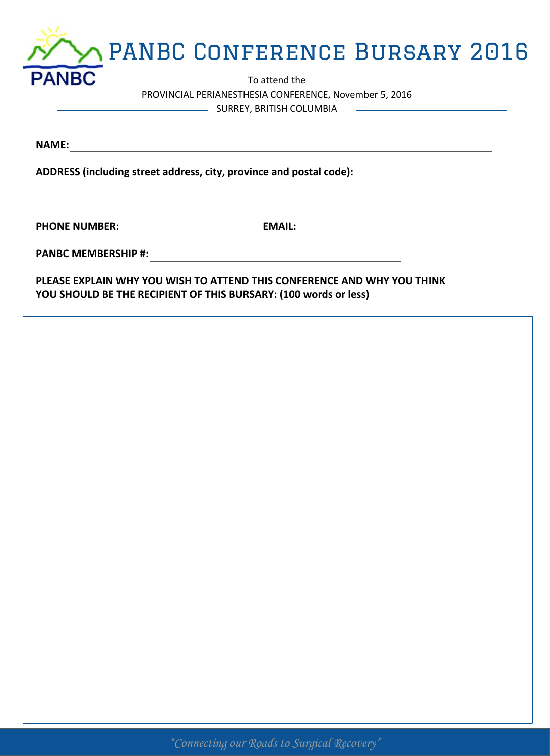|              | M PANBC CONFERENCE BURSARY 2016 |  |
|--------------|---------------------------------|--|
| <b>PANBC</b> | To attend the                   |  |

PROVINCIAL PERIANESTHESIA CONFERENCE, November 5, 2016 SURREY, BRITISH COLUMBIA

**NAME:** 

**ADDRESS (including street address, city, province and postal code):**

PHONE NUMBER: **EMAIL: EMAIL: EMAIL: EMAIL: EMAIL: EMAIL: EMAIL: EMAIL: EMAIL: EMAIL: EMAIL: EMAIL: EMAIL: EMAIL: EMAIL: EMAIL: EMAIL: EMAIL: EMAIL: EMAIL: EMAIL: EMAIL: EMAIL:**

**PANBC MEMBERSHIP #:** 

**PLEASE EXPLAIN WHY YOU WISH TO ATTEND THIS CONFERENCE AND WHY YOU THINK YOU SHOULD BE THE RECIPIENT OF THIS BURSARY: (100 words or less)**